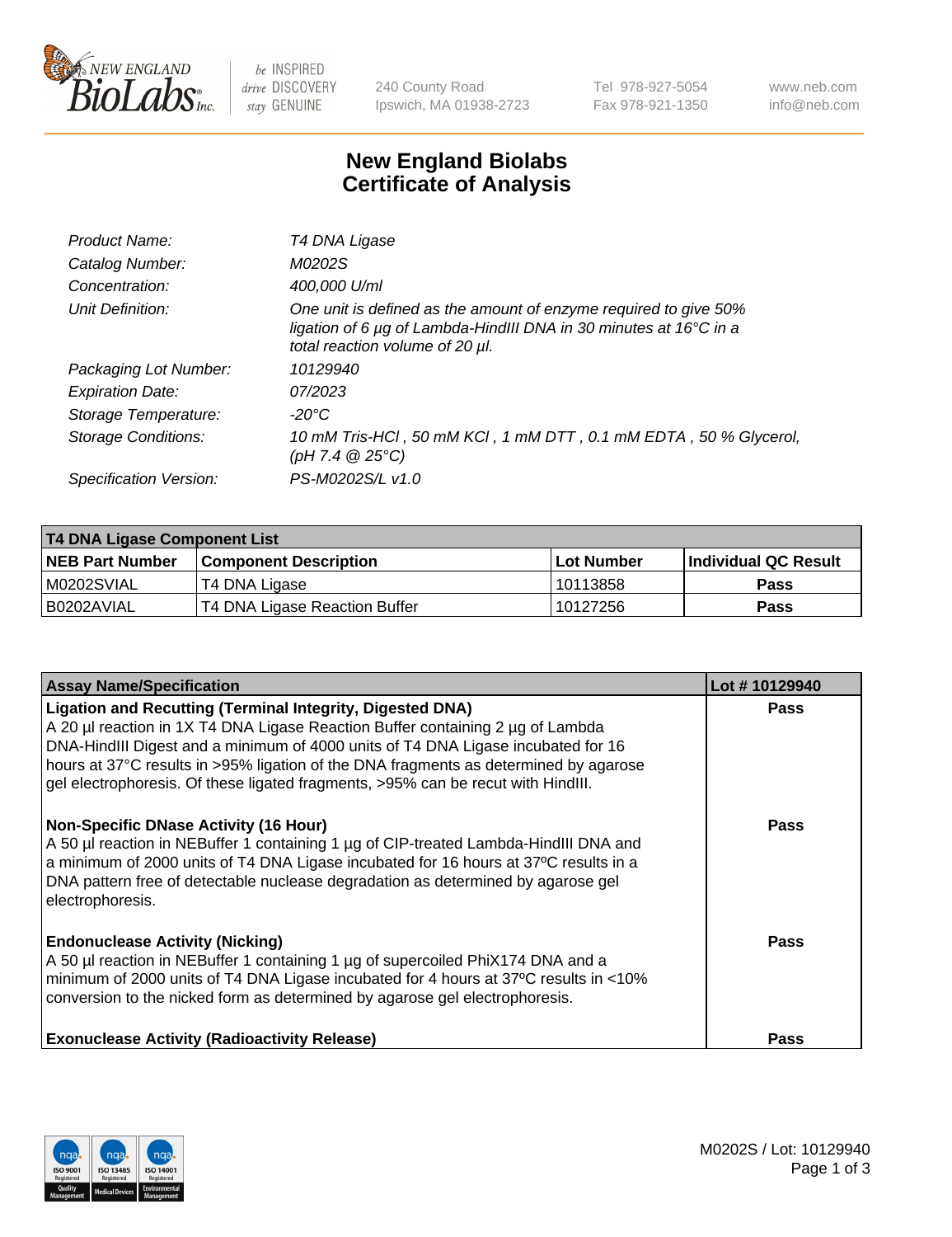

 $be$  INSPIRED drive DISCOVERY stay GENUINE

240 County Road Ipswich, MA 01938-2723 Tel 978-927-5054 Fax 978-921-1350 www.neb.com info@neb.com

## **New England Biolabs Certificate of Analysis**

| Product Name:           | T4 DNA Ligase                                                                                                                                                            |
|-------------------------|--------------------------------------------------------------------------------------------------------------------------------------------------------------------------|
| Catalog Number:         | M0202S                                                                                                                                                                   |
| Concentration:          | 400,000 U/ml                                                                                                                                                             |
| Unit Definition:        | One unit is defined as the amount of enzyme required to give 50%<br>ligation of 6 µg of Lambda-HindIII DNA in 30 minutes at 16°C in a<br>total reaction volume of 20 µl. |
| Packaging Lot Number:   | 10129940                                                                                                                                                                 |
| <b>Expiration Date:</b> | 07/2023                                                                                                                                                                  |
| Storage Temperature:    | -20°C                                                                                                                                                                    |
| Storage Conditions:     | 10 mM Tris-HCl, 50 mM KCl, 1 mM DTT, 0.1 mM EDTA, 50 % Glycerol,<br>(pH 7.4 $@25°C$ )                                                                                    |
| Specification Version:  | PS-M0202S/L v1.0                                                                                                                                                         |

| T4 DNA Ligase Component List |                               |              |                             |  |
|------------------------------|-------------------------------|--------------|-----------------------------|--|
| <b>NEB Part Number</b>       | l Component Description       | l Lot Number | <b>Individual QC Result</b> |  |
| M0202SVIAL                   | T4 DNA Ligase                 | 10113858     | <b>Pass</b>                 |  |
| I B0202AVIAL                 | T4 DNA Ligase Reaction Buffer | 10127256     | <b>Pass</b>                 |  |

| <b>Assay Name/Specification</b>                                                                                                                                                                                                                                                                                                                                                                                    | Lot #10129940 |
|--------------------------------------------------------------------------------------------------------------------------------------------------------------------------------------------------------------------------------------------------------------------------------------------------------------------------------------------------------------------------------------------------------------------|---------------|
| <b>Ligation and Recutting (Terminal Integrity, Digested DNA)</b><br>A 20 µl reaction in 1X T4 DNA Ligase Reaction Buffer containing 2 µg of Lambda<br>DNA-HindIII Digest and a minimum of 4000 units of T4 DNA Ligase incubated for 16<br>hours at 37°C results in >95% ligation of the DNA fragments as determined by agarose<br>gel electrophoresis. Of these ligated fragments, >95% can be recut with HindIII. | <b>Pass</b>   |
| <b>Non-Specific DNase Activity (16 Hour)</b><br>A 50 µl reaction in NEBuffer 1 containing 1 µg of CIP-treated Lambda-HindIII DNA and<br>a minimum of 2000 units of T4 DNA Ligase incubated for 16 hours at 37°C results in a<br>DNA pattern free of detectable nuclease degradation as determined by agarose gel<br>electrophoresis.                                                                               | <b>Pass</b>   |
| <b>Endonuclease Activity (Nicking)</b><br>A 50 µl reaction in NEBuffer 1 containing 1 µg of supercoiled PhiX174 DNA and a<br>minimum of 2000 units of T4 DNA Ligase incubated for 4 hours at 37°C results in <10%<br>conversion to the nicked form as determined by agarose gel electrophoresis.                                                                                                                   | <b>Pass</b>   |
| <b>Exonuclease Activity (Radioactivity Release)</b>                                                                                                                                                                                                                                                                                                                                                                | <b>Pass</b>   |

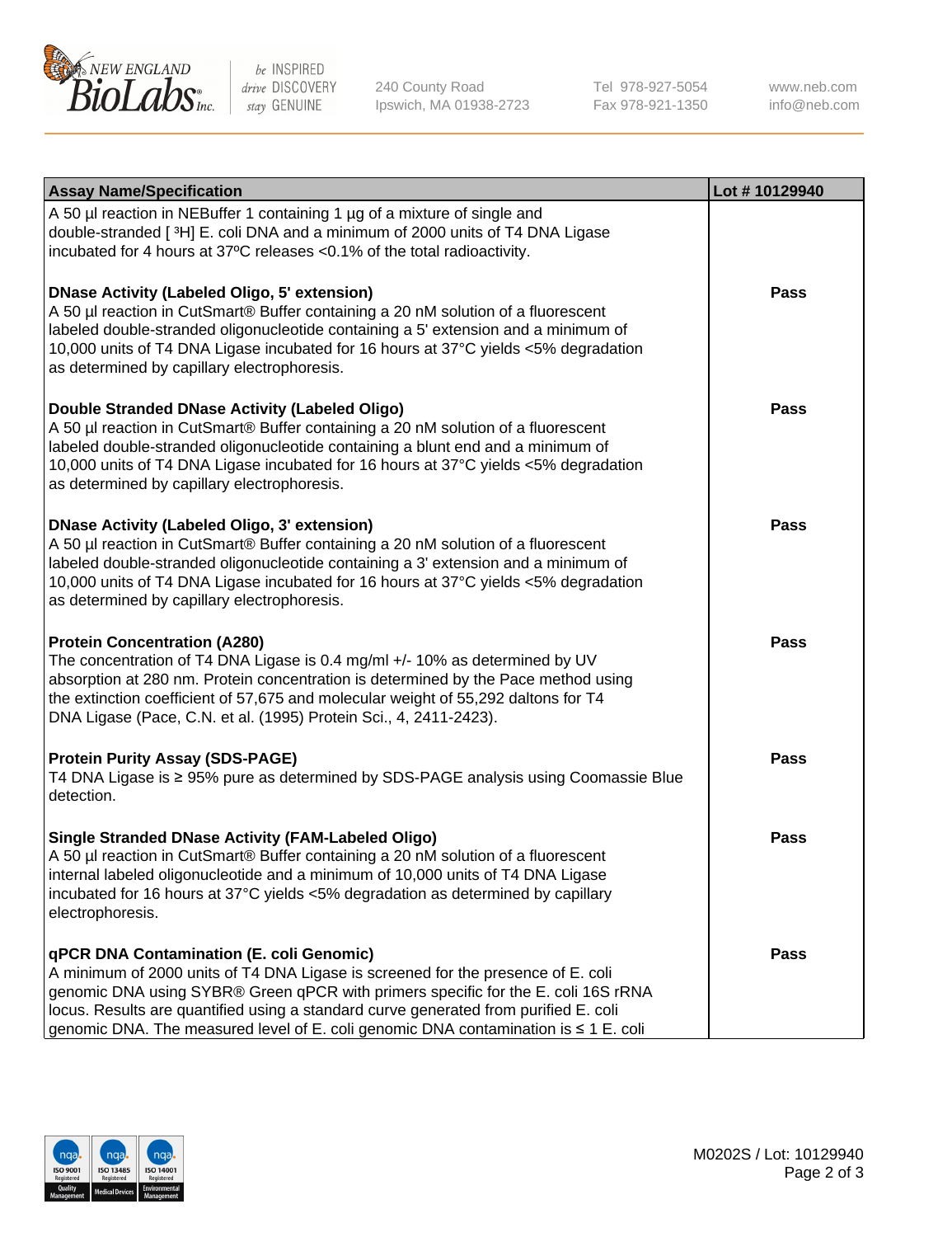

be INSPIRED drive DISCOVERY stay GENUINE

240 County Road Ipswich, MA 01938-2723 Tel 978-927-5054 Fax 978-921-1350

www.neb.com info@neb.com

| <b>Assay Name/Specification</b>                                                                                                                                                                                                                                                                                                                                                                         | Lot #10129940 |
|---------------------------------------------------------------------------------------------------------------------------------------------------------------------------------------------------------------------------------------------------------------------------------------------------------------------------------------------------------------------------------------------------------|---------------|
| A 50 µl reaction in NEBuffer 1 containing 1 µg of a mixture of single and<br>double-stranded [3H] E. coli DNA and a minimum of 2000 units of T4 DNA Ligase<br>incubated for 4 hours at 37°C releases <0.1% of the total radioactivity.                                                                                                                                                                  |               |
| <b>DNase Activity (Labeled Oligo, 5' extension)</b><br>A 50 µl reaction in CutSmart® Buffer containing a 20 nM solution of a fluorescent<br>labeled double-stranded oligonucleotide containing a 5' extension and a minimum of<br>10,000 units of T4 DNA Ligase incubated for 16 hours at 37°C yields <5% degradation<br>as determined by capillary electrophoresis.                                    | <b>Pass</b>   |
| Double Stranded DNase Activity (Labeled Oligo)<br>A 50 µl reaction in CutSmart® Buffer containing a 20 nM solution of a fluorescent<br>labeled double-stranded oligonucleotide containing a blunt end and a minimum of<br>10,000 units of T4 DNA Ligase incubated for 16 hours at 37°C yields <5% degradation<br>as determined by capillary electrophoresis.                                            | Pass          |
| <b>DNase Activity (Labeled Oligo, 3' extension)</b><br>A 50 µl reaction in CutSmart® Buffer containing a 20 nM solution of a fluorescent<br>labeled double-stranded oligonucleotide containing a 3' extension and a minimum of<br>10,000 units of T4 DNA Ligase incubated for 16 hours at 37°C yields <5% degradation<br>as determined by capillary electrophoresis.                                    | <b>Pass</b>   |
| <b>Protein Concentration (A280)</b><br>The concentration of T4 DNA Ligase is 0.4 mg/ml +/- 10% as determined by UV<br>absorption at 280 nm. Protein concentration is determined by the Pace method using<br>the extinction coefficient of 57,675 and molecular weight of 55,292 daltons for T4<br>DNA Ligase (Pace, C.N. et al. (1995) Protein Sci., 4, 2411-2423).                                     | <b>Pass</b>   |
| <b>Protein Purity Assay (SDS-PAGE)</b><br>T4 DNA Ligase is ≥ 95% pure as determined by SDS-PAGE analysis using Coomassie Blue<br>detection.                                                                                                                                                                                                                                                             | <b>Pass</b>   |
| <b>Single Stranded DNase Activity (FAM-Labeled Oligo)</b><br>A 50 µl reaction in CutSmart® Buffer containing a 20 nM solution of a fluorescent<br>internal labeled oligonucleotide and a minimum of 10,000 units of T4 DNA Ligase<br>incubated for 16 hours at 37°C yields <5% degradation as determined by capillary<br>electrophoresis.                                                               | <b>Pass</b>   |
| <b>qPCR DNA Contamination (E. coli Genomic)</b><br>A minimum of 2000 units of T4 DNA Ligase is screened for the presence of E. coli<br>genomic DNA using SYBR® Green qPCR with primers specific for the E. coli 16S rRNA<br>locus. Results are quantified using a standard curve generated from purified E. coli<br>genomic DNA. The measured level of E. coli genomic DNA contamination is ≤ 1 E. coli | <b>Pass</b>   |